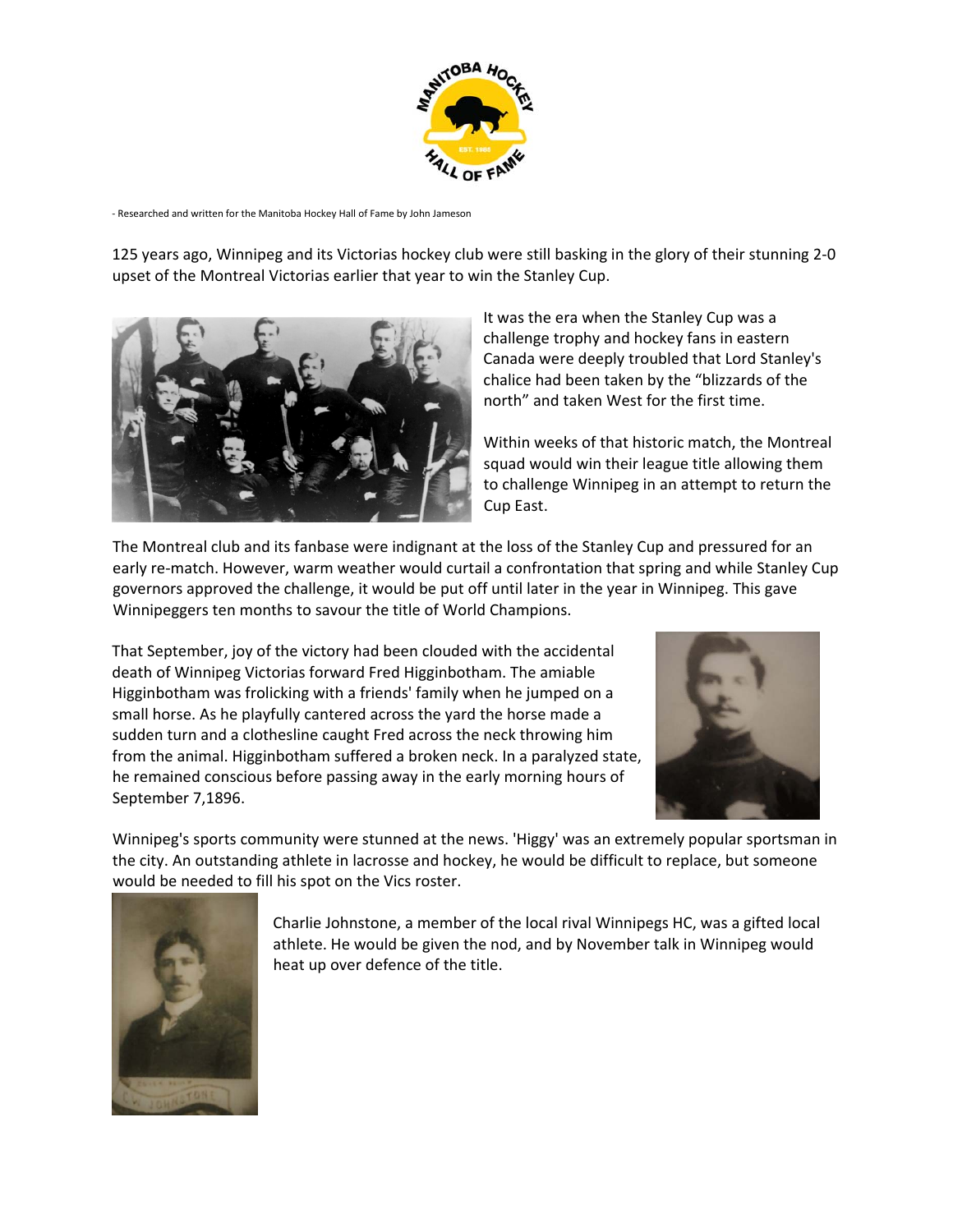

‐ Researched and written for the Manitoba Hockey Hall of Fame by John Jameson

125 years ago, Winnipeg and its Victorias hockey club were still basking in the glory of their stunning 2‐0 upset of the Montreal Victorias earlier that year to win the Stanley Cup.



It was the era when the Stanley Cup was a challenge trophy and hockey fans in eastern Canada were deeply troubled that Lord Stanley's chalice had been taken by the "blizzards of the north" and taken West for the first time.

Within weeks of that historic match, the Montreal squad would win their league title allowing them to challenge Winnipeg in an attempt to return the Cup East.

The Montreal club and its fanbase were indignant at the loss of the Stanley Cup and pressured for an early re-match. However, warm weather would curtail a confrontation that spring and while Stanley Cup governors approved the challenge, it would be put off until later in the year in Winnipeg. This gave Winnipeggers ten months to savour the title of World Champions.

That September, joy of the victory had been clouded with the accidental death of Winnipeg Victorias forward Fred Higginbotham. The amiable Higginbotham was frolicking with a friends' family when he jumped on a small horse. As he playfully cantered across the yard the horse made a sudden turn and a clothesline caught Fred across the neck throwing him from the animal. Higginbotham suffered a broken neck. In a paralyzed state, he remained conscious before passing away in the early morning hours of September 7,1896.



Winnipeg's sports community were stunned at the news. 'Higgy' was an extremely popular sportsman in the city. An outstanding athlete in lacrosse and hockey, he would be difficult to replace, but someone would be needed to fill his spot on the Vics roster.



Charlie Johnstone, a member of the local rival Winnipegs HC, was a gifted local athlete. He would be given the nod, and by November talk in Winnipeg would heat up over defence of the title.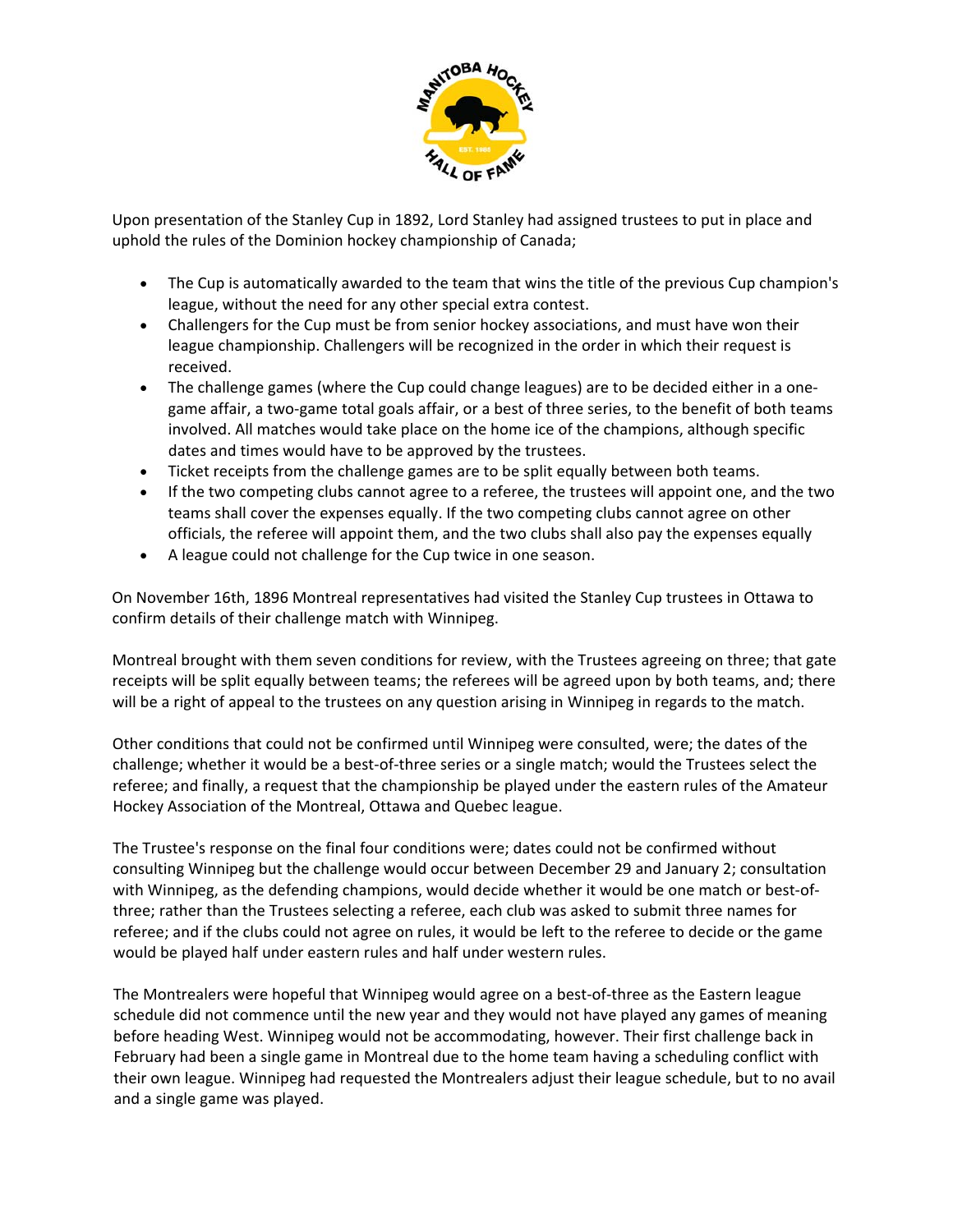

Upon presentation of the Stanley Cup in 1892, Lord Stanley had assigned trustees to put in place and uphold the rules of the Dominion hockey championship of Canada;

- The Cup is automatically awarded to the team that wins the title of the previous Cup champion's league, without the need for any other special extra contest.
- Challengers for the Cup must be from senior hockey associations, and must have won their league championship. Challengers will be recognized in the order in which their request is received.
- The challenge games (where the Cup could change leagues) are to be decided either in a onegame affair, a two-game total goals affair, or a best of three series, to the benefit of both teams involved. All matches would take place on the home ice of the champions, although specific dates and times would have to be approved by the trustees.
- Ticket receipts from the challenge games are to be split equally between both teams.
- If the two competing clubs cannot agree to a referee, the trustees will appoint one, and the two teams shall cover the expenses equally. If the two competing clubs cannot agree on other officials, the referee will appoint them, and the two clubs shall also pay the expenses equally
- A league could not challenge for the Cup twice in one season.

On November 16th, 1896 Montreal representatives had visited the Stanley Cup trustees in Ottawa to confirm details of their challenge match with Winnipeg.

Montreal brought with them seven conditions for review, with the Trustees agreeing on three; that gate receipts will be split equally between teams; the referees will be agreed upon by both teams, and; there will be a right of appeal to the trustees on any question arising in Winnipeg in regards to the match.

Other conditions that could not be confirmed until Winnipeg were consulted, were; the dates of the challenge; whether it would be a best‐of‐three series or a single match; would the Trustees select the referee; and finally, a request that the championship be played under the eastern rules of the Amateur Hockey Association of the Montreal, Ottawa and Quebec league.

The Trustee's response on the final four conditions were; dates could not be confirmed without consulting Winnipeg but the challenge would occur between December 29 and January 2; consultation with Winnipeg, as the defending champions, would decide whether it would be one match or best-ofthree; rather than the Trustees selecting a referee, each club was asked to submit three names for referee; and if the clubs could not agree on rules, it would be left to the referee to decide or the game would be played half under eastern rules and half under western rules.

The Montrealers were hopeful that Winnipeg would agree on a best-of-three as the Eastern league schedule did not commence until the new year and they would not have played any games of meaning before heading West. Winnipeg would not be accommodating, however. Their first challenge back in February had been a single game in Montreal due to the home team having a scheduling conflict with their own league. Winnipeg had requested the Montrealers adjust their league schedule, but to no avail and a single game was played.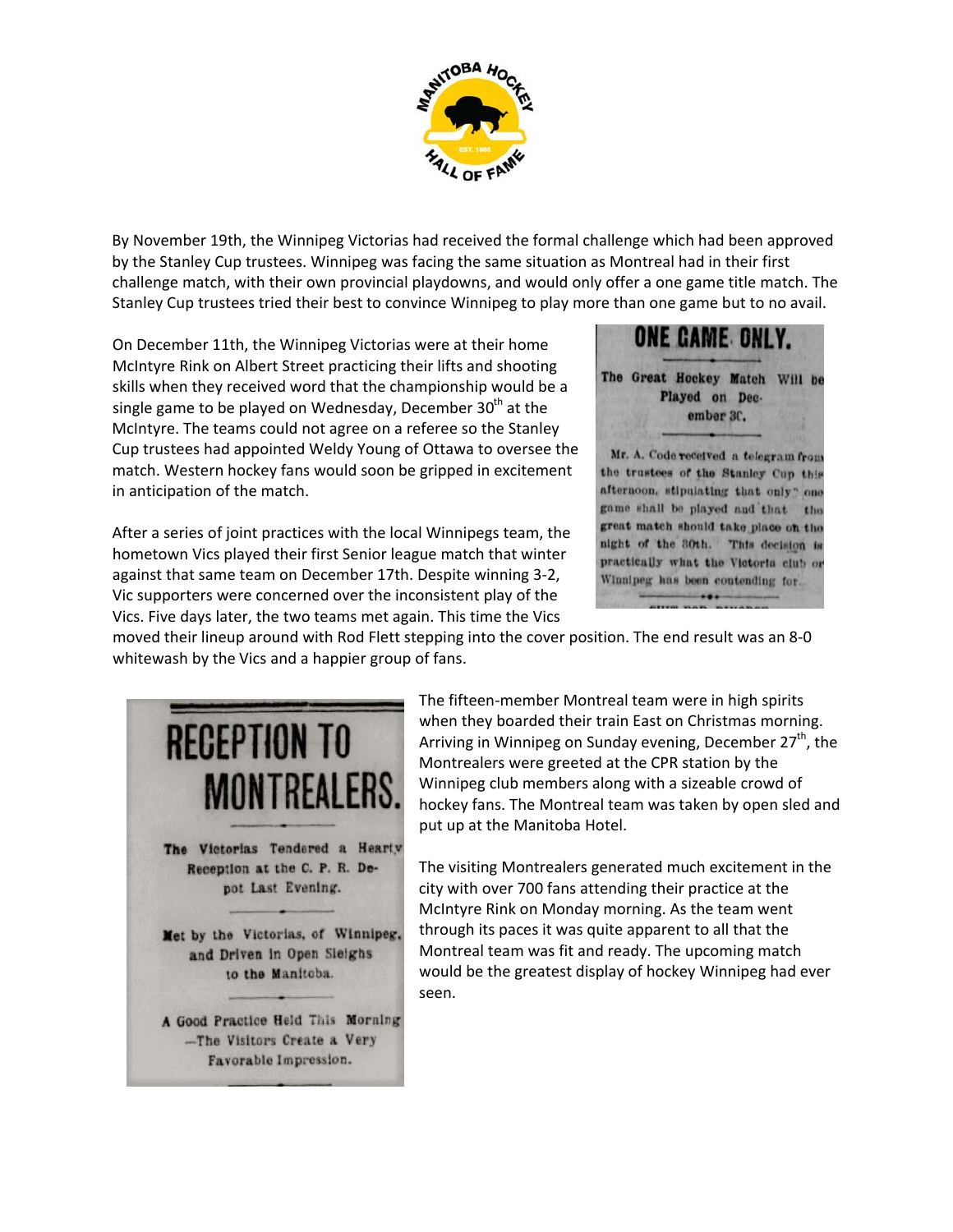

By November 19th, the Winnipeg Victorias had received the formal challenge which had been approved by the Stanley Cup trustees. Winnipeg was facing the same situation as Montreal had in their first challenge match, with their own provincial playdowns, and would only offer a one game title match. The Stanley Cup trustees tried their best to convince Winnipeg to play more than one game but to no avail.

On December 11th, the Winnipeg Victorias were at their home McIntyre Rink on Albert Street practicing their lifts and shooting skills when they received word that the championship would be a single game to be played on Wednesday, December  $30<sup>th</sup>$  at the McIntyre. The teams could not agree on a referee so the Stanley Cup trustees had appointed Weldy Young of Ottawa to oversee the match. Western hockey fans would soon be gripped in excitement in anticipation of the match.

After a series of joint practices with the local Winnipegs team, the hometown Vics played their first Senior league match that winter against that same team on December 17th. Despite winning 3‐2, Vic supporters were concerned over the inconsistent play of the Vics. Five days later, the two teams met again. This time the Vics



moved their lineup around with Rod Flett stepping into the cover position. The end result was an 8‐0 whitewash by the Vics and a happier group of fans.



The fifteen‐member Montreal team were in high spirits when they boarded their train East on Christmas morning. Arriving in Winnipeg on Sunday evening, December 27<sup>th</sup>, the Montrealers were greeted at the CPR station by the Winnipeg club members along with a sizeable crowd of hockey fans. The Montreal team was taken by open sled and put up at the Manitoba Hotel.

The visiting Montrealers generated much excitement in the city with over 700 fans attending their practice at the McIntyre Rink on Monday morning. As the team went through its paces it was quite apparent to all that the Montreal team was fit and ready. The upcoming match would be the greatest display of hockey Winnipeg had ever seen.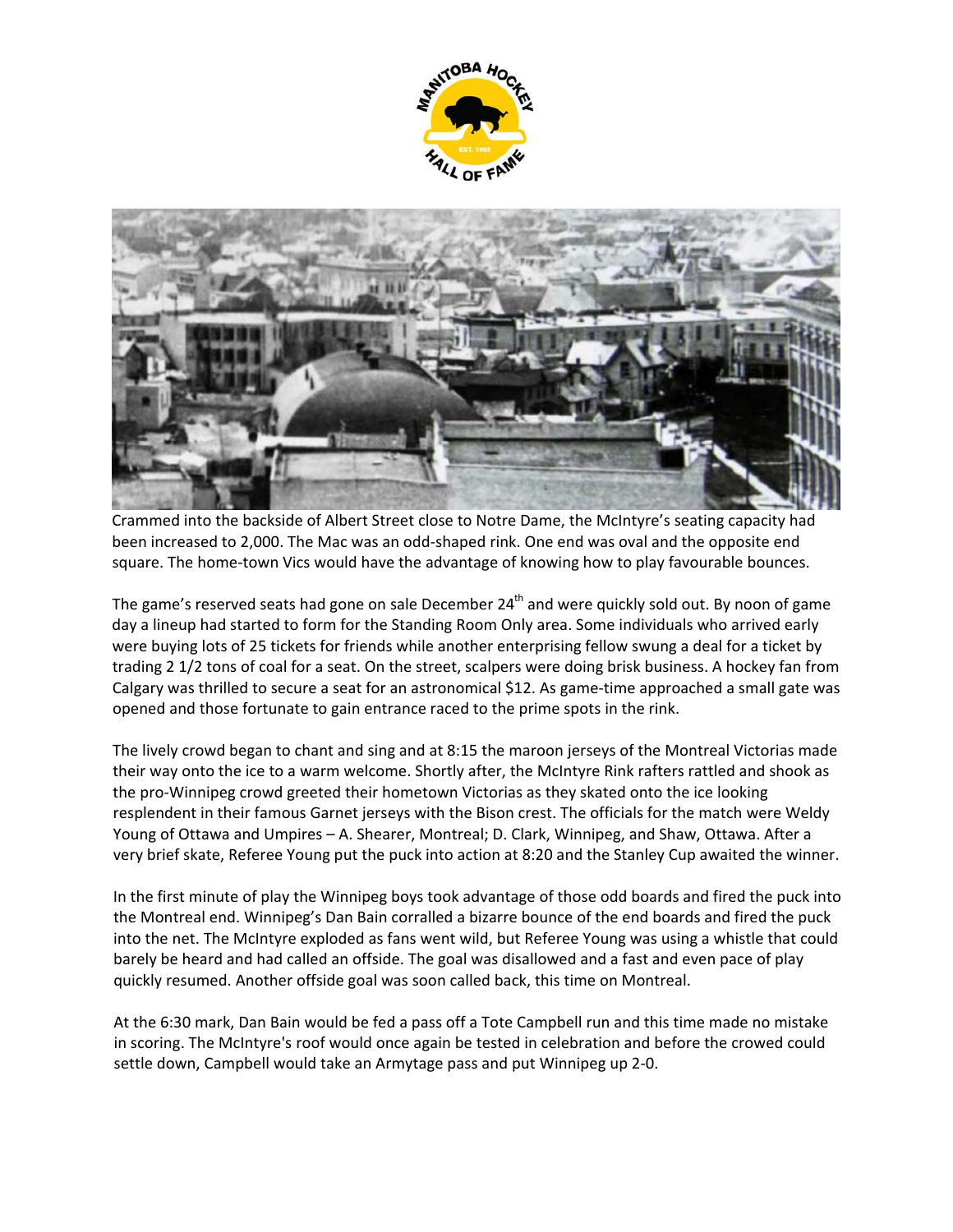



Crammed into the backside of Albert Street close to Notre Dame, the McIntyre's seating capacity had been increased to 2,000. The Mac was an odd‐shaped rink. One end was oval and the opposite end square. The home-town Vics would have the advantage of knowing how to play favourable bounces.

The game's reserved seats had gone on sale December 24<sup>th</sup> and were quickly sold out. By noon of game day a lineup had started to form for the Standing Room Only area. Some individuals who arrived early were buying lots of 25 tickets for friends while another enterprising fellow swung a deal for a ticket by trading 2 1/2 tons of coal for a seat. On the street, scalpers were doing brisk business. A hockey fan from Calgary was thrilled to secure a seat for an astronomical \$12. As game‐time approached a small gate was opened and those fortunate to gain entrance raced to the prime spots in the rink.

The lively crowd began to chant and sing and at 8:15 the maroon jerseys of the Montreal Victorias made their way onto the ice to a warm welcome. Shortly after, the McIntyre Rink rafters rattled and shook as the pro‐Winnipeg crowd greeted their hometown Victorias as they skated onto the ice looking resplendent in their famous Garnet jerseys with the Bison crest. The officials for the match were Weldy Young of Ottawa and Umpires – A. Shearer, Montreal; D. Clark, Winnipeg, and Shaw, Ottawa. After a very brief skate, Referee Young put the puck into action at 8:20 and the Stanley Cup awaited the winner.

In the first minute of play the Winnipeg boys took advantage of those odd boards and fired the puck into the Montreal end. Winnipeg's Dan Bain corralled a bizarre bounce of the end boards and fired the puck into the net. The McIntyre exploded as fans went wild, but Referee Young was using a whistle that could barely be heard and had called an offside. The goal was disallowed and a fast and even pace of play quickly resumed. Another offside goal was soon called back, this time on Montreal.

At the 6:30 mark, Dan Bain would be fed a pass off a Tote Campbell run and this time made no mistake in scoring. The McIntyre's roof would once again be tested in celebration and before the crowed could settle down, Campbell would take an Armytage pass and put Winnipeg up 2‐0.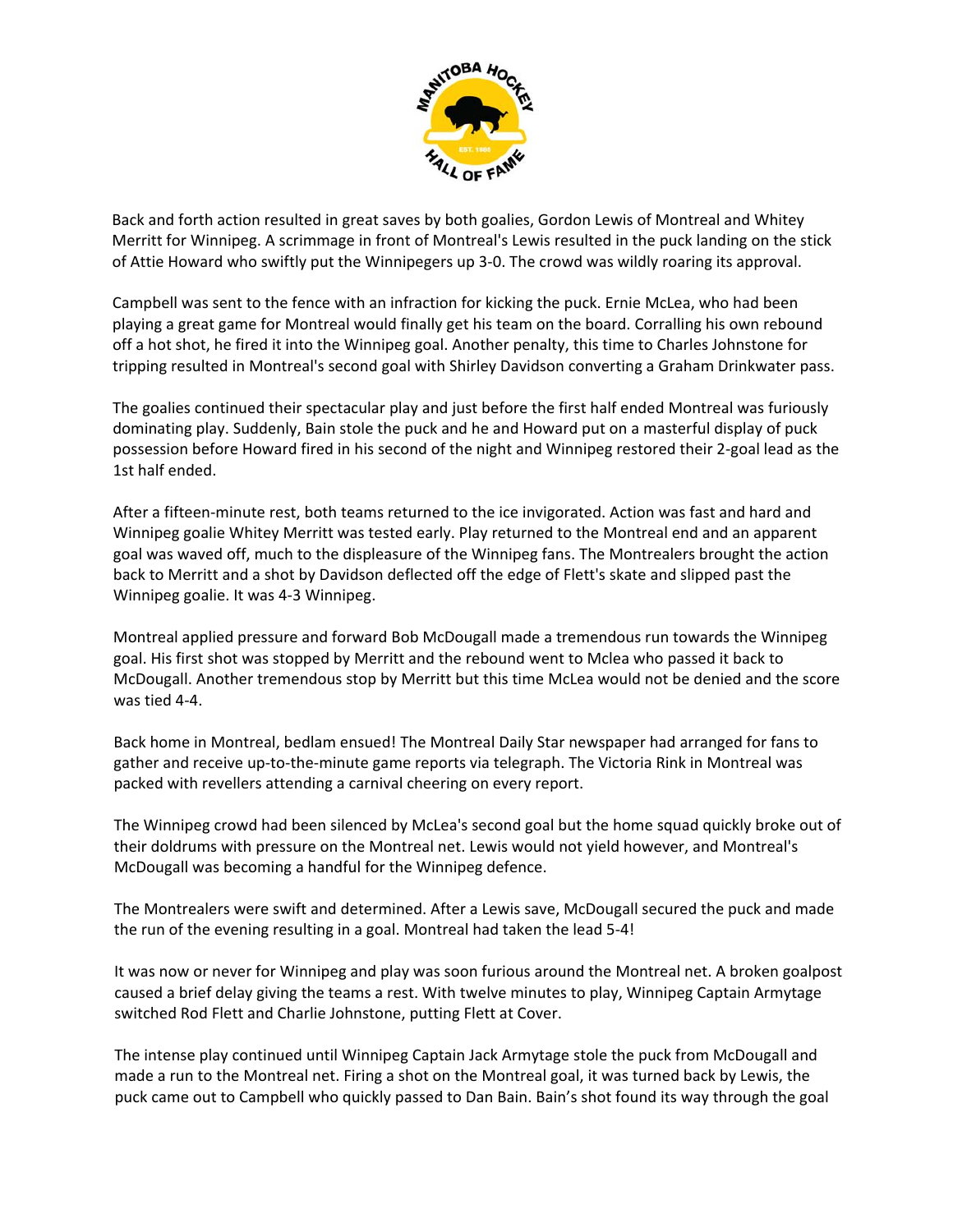

Back and forth action resulted in great saves by both goalies, Gordon Lewis of Montreal and Whitey Merritt for Winnipeg. A scrimmage in front of Montreal's Lewis resulted in the puck landing on the stick of Attie Howard who swiftly put the Winnipegers up 3‐0. The crowd was wildly roaring its approval.

Campbell was sent to the fence with an infraction for kicking the puck. Ernie McLea, who had been playing a great game for Montreal would finally get his team on the board. Corralling his own rebound off a hot shot, he fired it into the Winnipeg goal. Another penalty, this time to Charles Johnstone for tripping resulted in Montreal's second goal with Shirley Davidson converting a Graham Drinkwater pass.

The goalies continued their spectacular play and just before the first half ended Montreal was furiously dominating play. Suddenly, Bain stole the puck and he and Howard put on a masterful display of puck possession before Howard fired in his second of the night and Winnipeg restored their 2‐goal lead as the 1st half ended.

After a fifteen‐minute rest, both teams returned to the ice invigorated. Action was fast and hard and Winnipeg goalie Whitey Merritt was tested early. Play returned to the Montreal end and an apparent goal was waved off, much to the displeasure of the Winnipeg fans. The Montrealers brought the action back to Merritt and a shot by Davidson deflected off the edge of Flett's skate and slipped past the Winnipeg goalie. It was 4‐3 Winnipeg.

Montreal applied pressure and forward Bob McDougall made a tremendous run towards the Winnipeg goal. His first shot was stopped by Merritt and the rebound went to Mclea who passed it back to McDougall. Another tremendous stop by Merritt but this time McLea would not be denied and the score was tied 4‐4.

Back home in Montreal, bedlam ensued! The Montreal Daily Star newspaper had arranged for fans to gather and receive up‐to‐the‐minute game reports via telegraph. The Victoria Rink in Montreal was packed with revellers attending a carnival cheering on every report.

The Winnipeg crowd had been silenced by McLea's second goal but the home squad quickly broke out of their doldrums with pressure on the Montreal net. Lewis would not yield however, and Montreal's McDougall was becoming a handful for the Winnipeg defence.

The Montrealers were swift and determined. After a Lewis save, McDougall secured the puck and made the run of the evening resulting in a goal. Montreal had taken the lead 5‐4!

It was now or never for Winnipeg and play was soon furious around the Montreal net. A broken goalpost caused a brief delay giving the teams a rest. With twelve minutes to play, Winnipeg Captain Armytage switched Rod Flett and Charlie Johnstone, putting Flett at Cover.

The intense play continued until Winnipeg Captain Jack Armytage stole the puck from McDougall and made a run to the Montreal net. Firing a shot on the Montreal goal, it was turned back by Lewis, the puck came out to Campbell who quickly passed to Dan Bain. Bain's shot found its way through the goal